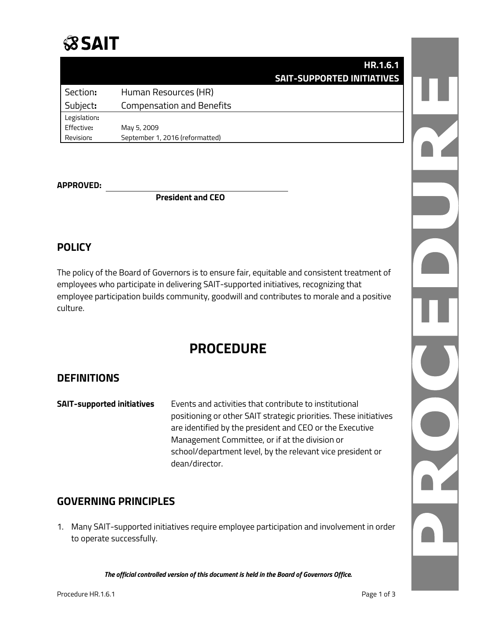## **SSAIT**

|              | <b>HR.1.6.1</b>                   |  |
|--------------|-----------------------------------|--|
|              | <b>SAIT-SUPPORTED INITIATIVES</b> |  |
| Section:     | Human Resources (HR)              |  |
| Subject:     | <b>Compensation and Benefits</b>  |  |
| Legislation: |                                   |  |
| Effective:   | May 5, 2009                       |  |
| Revision:    | September 1, 2016 (reformatted)   |  |

#### **APPROVED:**

**President and CEO**

#### **POLICY**

The policy of the Board of Governors is to ensure fair, equitable and consistent treatment of employees who participate in delivering SAIT-supported initiatives, recognizing that employee participation builds community, goodwill and contributes to morale and a positive culture.

### **PROCEDURE**

#### **DEFINITIONS**

**SAIT-supported initiatives** Events and activities that contribute to institutional positioning or other SAIT strategic priorities. These initiatives are identified by the president and CEO or the Executive Management Committee, or if at the division or school/department level, by the relevant vice president or dean/director.

#### **GOVERNING PRINCIPLES**

1. Many SAIT-supported initiatives require employee participation and involvement in order to operate successfully.

*The official controlled version of this document is held in the Board of Governors Office.*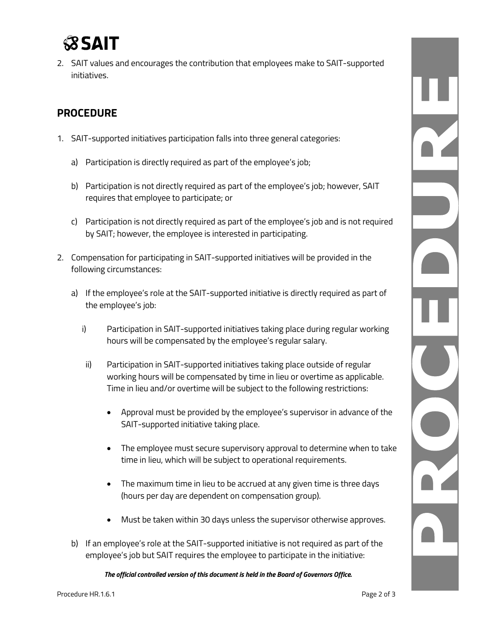# **SSAI**

2. SAIT values and encourages the contribution that employees make to SAIT-supported initiatives.

#### **PROCEDURE**

- 1. SAIT-supported initiatives participation falls into three general categories:
	- a) Participation is directly required as part of the employee's job;
	- b) Participation is not directly required as part of the employee's job; however, SAIT requires that employee to participate; or
	- c) Participation is not directly required as part of the employee's job and is not required by SAIT; however, the employee is interested in participating.
- 2. Compensation for participating in SAIT-supported initiatives will be provided in the following circumstances:
	- a) If the employee's role at the SAIT-supported initiative is directly required as part of the employee's job:
		- i) Participation in SAIT-supported initiatives taking place during regular working hours will be compensated by the employee's regular salary.
		- ii) Participation in SAIT-supported initiatives taking place outside of regular working hours will be compensated by time in lieu or overtime as applicable. Time in lieu and/or overtime will be subject to the following restrictions:
			- Approval must be provided by the employee's supervisor in advance of the SAIT-supported initiative taking place.
			- The employee must secure supervisory approval to determine when to take time in lieu, which will be subject to operational requirements.
			- The maximum time in lieu to be accrued at any given time is three days (hours per day are dependent on compensation group).
			- Must be taken within 30 days unless the supervisor otherwise approves.
	- b) If an employee's role at the SAIT-supported initiative is not required as part of the employee's job but SAIT requires the employee to participate in the initiative:

*The official controlled version of this document is held in the Board of Governors Office.*